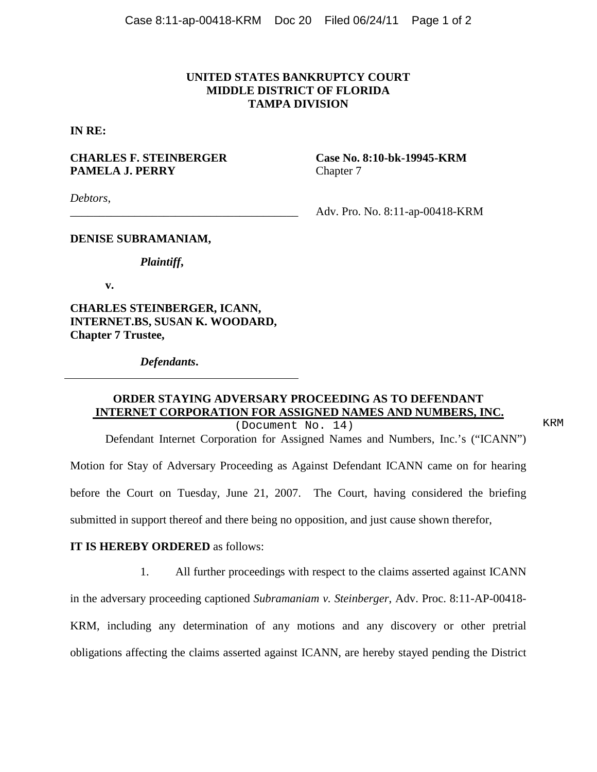## **UNITED STATES BANKRUPTCY COURT MIDDLE DISTRICT OF FLORIDA TAMPA DIVISION**

**IN RE:**

## **CHARLES F. STEINBERGER Case No. 8:10-bk-19945-KRM PAMELA J. PERRY** Chapter 7

*Debtors*,

\_\_\_\_\_\_\_\_\_\_\_\_\_\_\_\_\_\_\_\_\_\_\_\_\_\_\_\_\_\_\_\_\_\_\_\_\_\_\_ Adv. Pro. No. 8:11-ap-00418-KRM

#### **DENISE SUBRAMANIAM,**

#### *Plaintiff***,**

**v.**

**CHARLES STEINBERGER, ICANN, INTERNET.BS, SUSAN K. WOODARD, Chapter 7 Trustee,**

*Defendants***.**

# **ORDER STAYING ADVERSARY PROCEEDING AS TO DEFENDANT INTERNET CORPORATION FOR ASSIGNED NAMES AND NUMBERS, INC.**

(Document No. 14) KRM

Defendant Internet Corporation for Assigned Names and Numbers, Inc.'s ("ICANN")

Motion for Stay of Adversary Proceeding as Against Defendant ICANN came on for hearing before the Court on Tuesday, June 21, 2007. The Court, having considered the briefing submitted in support thereof and there being no opposition, and just cause shown therefor,

#### **IT IS HEREBY ORDERED** as follows:

1. All further proceedings with respect to the claims asserted against ICANN

in the adversary proceeding captioned *Subramaniam v. Steinberger*, Adv. Proc. 8:11-AP-00418-

KRM, including any determination of any motions and any discovery or other pretrial

obligations affecting the claims asserted against ICANN, are hereby stayed pending the District